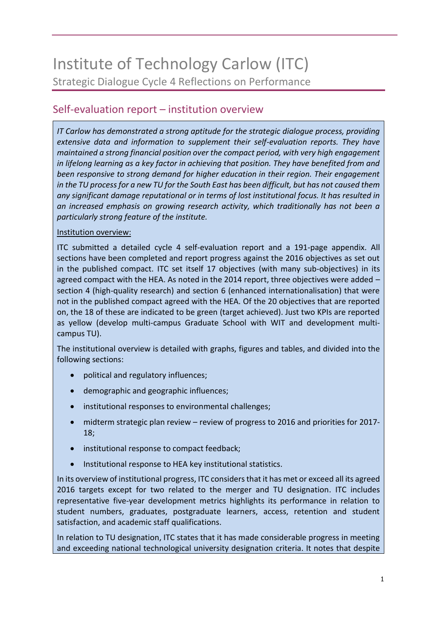# Institute of Technology Carlow (ITC) Strategic Dialogue Cycle 4 Reflections on Performance

# Self-evaluation report – institution overview

*IT Carlow has demonstrated a strong aptitude for the strategic dialogue process, providing extensive data and information to supplement their self-evaluation reports. They have maintained a strong financial position over the compact period, with very high engagement in lifelong learning as a key factor in achieving that position. They have benefited from and been responsive to strong demand for higher education in their region. Their engagement in the TU process for a new TU for the South East has been difficult, but has not caused them any significant damage reputational or in terms of lost institutional focus. It has resulted in an increased emphasis on growing research activity, which traditionally has not been a particularly strong feature of the institute.* 

#### Institution overview:

ITC submitted a detailed cycle 4 self-evaluation report and a 191-page appendix. All sections have been completed and report progress against the 2016 objectives as set out in the published compact. ITC set itself 17 objectives (with many sub-objectives) in its agreed compact with the HEA. As noted in the 2014 report, three objectives were added  $$ section 4 (high-quality research) and section 6 (enhanced internationalisation) that were not in the published compact agreed with the HEA. Of the 20 objectives that are reported on, the 18 of these are indicated to be green (target achieved). Just two KPIs are reported as yellow (develop multi-campus Graduate School with WIT and development multicampus TU).

The institutional overview is detailed with graphs, figures and tables, and divided into the following sections:

- political and regulatory influences;
- demographic and geographic influences;
- institutional responses to environmental challenges;
- midterm strategic plan review review of progress to 2016 and priorities for 2017- 18;
- institutional response to compact feedback;
- Institutional response to HEA key institutional statistics.

In its overview of institutional progress, ITC considers that it has met or exceed all its agreed 2016 targets except for two related to the merger and TU designation. ITC includes representative five-year development metrics highlights its performance in relation to student numbers, graduates, postgraduate learners, access, retention and student satisfaction, and academic staff qualifications.

In relation to TU designation, ITC states that it has made considerable progress in meeting and exceeding national technological university designation criteria. It notes that despite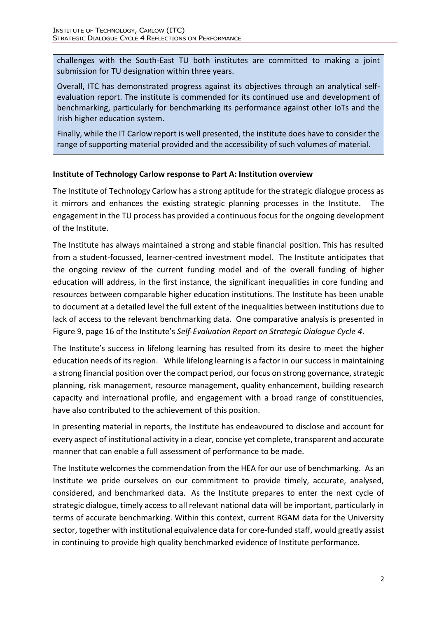challenges with the South-East TU both institutes are committed to making a joint submission for TU designation within three years.

Overall, ITC has demonstrated progress against its objectives through an analytical selfevaluation report. The institute is commended for its continued use and development of benchmarking, particularly for benchmarking its performance against other IoTs and the Irish higher education system.

Finally, while the IT Carlow report is well presented, the institute does have to consider the range of supporting material provided and the accessibility of such volumes of material.

### **Institute of Technology Carlow response to Part A: Institution overview**

The Institute of Technology Carlow has a strong aptitude for the strategic dialogue process as it mirrors and enhances the existing strategic planning processes in the Institute. The engagement in the TU process has provided a continuous focus for the ongoing development of the Institute.

The Institute has always maintained a strong and stable financial position. This has resulted from a student-focussed, learner-centred investment model. The Institute anticipates that the ongoing review of the current funding model and of the overall funding of higher education will address, in the first instance, the significant inequalities in core funding and resources between comparable higher education institutions. The Institute has been unable to document at a detailed level the full extent of the inequalities between institutions due to lack of access to the relevant benchmarking data. One comparative analysis is presented in Figure 9, page 16 of the Institute's *Self-Evaluation Report on Strategic Dialogue Cycle 4*.

The Institute's success in lifelong learning has resulted from its desire to meet the higher education needs of its region. While lifelong learning is a factor in our success in maintaining a strong financial position over the compact period, our focus on strong governance, strategic planning, risk management, resource management, quality enhancement, building research capacity and international profile, and engagement with a broad range of constituencies, have also contributed to the achievement of this position.

In presenting material in reports, the Institute has endeavoured to disclose and account for every aspect of institutional activity in a clear, concise yet complete, transparent and accurate manner that can enable a full assessment of performance to be made.

The Institute welcomes the commendation from the HEA for our use of benchmarking. As an Institute we pride ourselves on our commitment to provide timely, accurate, analysed, considered, and benchmarked data. As the Institute prepares to enter the next cycle of strategic dialogue, timely access to all relevant national data will be important, particularly in terms of accurate benchmarking. Within this context, current RGAM data for the University sector, together with institutional equivalence data for core-funded staff, would greatly assist in continuing to provide high quality benchmarked evidence of Institute performance.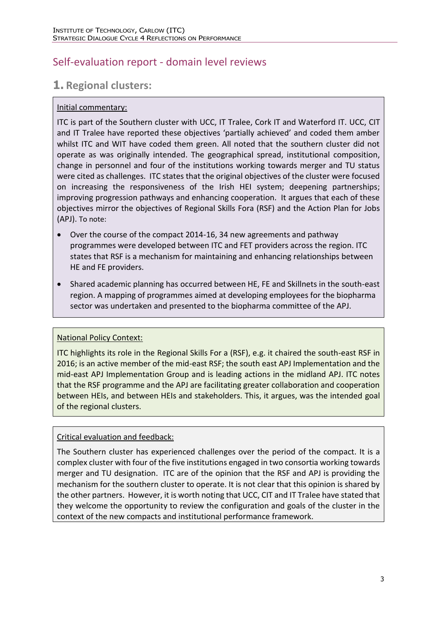# Self-evaluation report - domain level reviews

# **1. Regional clusters:**

### Initial commentary:

ITC is part of the Southern cluster with UCC, IT Tralee, Cork IT and Waterford IT. UCC, CIT and IT Tralee have reported these objectives 'partially achieved' and coded them amber whilst ITC and WIT have coded them green. All noted that the southern cluster did not operate as was originally intended. The geographical spread, institutional composition, change in personnel and four of the institutions working towards merger and TU status were cited as challenges. ITC states that the original objectives of the cluster were focused on increasing the responsiveness of the Irish HEI system; deepening partnerships; improving progression pathways and enhancing cooperation. It argues that each of these objectives mirror the objectives of Regional Skills Fora (RSF) and the Action Plan for Jobs (APJ). To note:

- Over the course of the compact 2014-16, 34 new agreements and pathway programmes were developed between ITC and FET providers across the region. ITC states that RSF is a mechanism for maintaining and enhancing relationships between HE and FE providers.
- Shared academic planning has occurred between HE, FE and Skillnets in the south-east region. A mapping of programmes aimed at developing employees for the biopharma sector was undertaken and presented to the biopharma committee of the APJ.

### National Policy Context:

ITC highlights its role in the Regional Skills For a (RSF), e.g. it chaired the south-east RSF in 2016; is an active member of the mid-east RSF; the south east APJ Implementation and the mid-east APJ Implementation Group and is leading actions in the midland APJ. ITC notes that the RSF programme and the APJ are facilitating greater collaboration and cooperation between HEIs, and between HEIs and stakeholders. This, it argues, was the intended goal of the regional clusters.

#### Critical evaluation and feedback:

The Southern cluster has experienced challenges over the period of the compact. It is a complex cluster with four of the five institutions engaged in two consortia working towards merger and TU designation. ITC are of the opinion that the RSF and APJ is providing the mechanism for the southern cluster to operate. It is not clear that this opinion is shared by the other partners. However, it is worth noting that UCC, CIT and IT Tralee have stated that they welcome the opportunity to review the configuration and goals of the cluster in the context of the new compacts and institutional performance framework.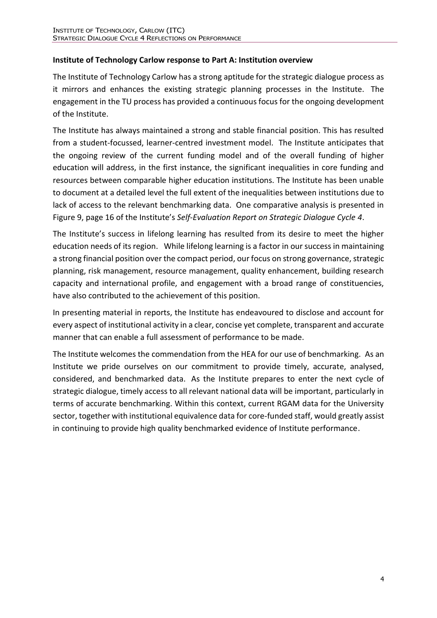### **Institute of Technology Carlow response to Part A: Institution overview**

The Institute of Technology Carlow has a strong aptitude for the strategic dialogue process as it mirrors and enhances the existing strategic planning processes in the Institute. The engagement in the TU process has provided a continuous focus for the ongoing development of the Institute.

The Institute has always maintained a strong and stable financial position. This has resulted from a student-focussed, learner-centred investment model. The Institute anticipates that the ongoing review of the current funding model and of the overall funding of higher education will address, in the first instance, the significant inequalities in core funding and resources between comparable higher education institutions. The Institute has been unable to document at a detailed level the full extent of the inequalities between institutions due to lack of access to the relevant benchmarking data. One comparative analysis is presented in Figure 9, page 16 of the Institute's *Self-Evaluation Report on Strategic Dialogue Cycle 4*.

The Institute's success in lifelong learning has resulted from its desire to meet the higher education needs of its region. While lifelong learning is a factor in our success in maintaining a strong financial position over the compact period, our focus on strong governance, strategic planning, risk management, resource management, quality enhancement, building research capacity and international profile, and engagement with a broad range of constituencies, have also contributed to the achievement of this position.

In presenting material in reports, the Institute has endeavoured to disclose and account for every aspect of institutional activity in a clear, concise yet complete, transparent and accurate manner that can enable a full assessment of performance to be made.

The Institute welcomes the commendation from the HEA for our use of benchmarking. As an Institute we pride ourselves on our commitment to provide timely, accurate, analysed, considered, and benchmarked data. As the Institute prepares to enter the next cycle of strategic dialogue, timely access to all relevant national data will be important, particularly in terms of accurate benchmarking. Within this context, current RGAM data for the University sector, together with institutional equivalence data for core-funded staff, would greatly assist in continuing to provide high quality benchmarked evidence of Institute performance.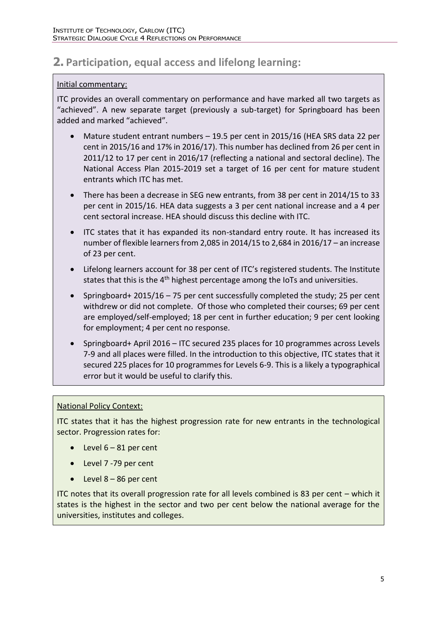# **2. Participation, equal access and lifelong learning:**

#### Initial commentary:

ITC provides an overall commentary on performance and have marked all two targets as "achieved". A new separate target (previously a sub-target) for Springboard has been added and marked "achieved".

- Mature student entrant numbers 19.5 per cent in 2015/16 (HEA SRS data 22 per cent in 2015/16 and 17% in 2016/17). This number has declined from 26 per cent in 2011/12 to 17 per cent in 2016/17 (reflecting a national and sectoral decline). The National Access Plan 2015-2019 set a target of 16 per cent for mature student entrants which ITC has met.
- There has been a decrease in SEG new entrants, from 38 per cent in 2014/15 to 33 per cent in 2015/16. HEA data suggests a 3 per cent national increase and a 4 per cent sectoral increase. HEA should discuss this decline with ITC.
- ITC states that it has expanded its non-standard entry route. It has increased its number of flexible learners from 2,085 in 2014/15 to 2,684 in 2016/17 – an increase of 23 per cent.
- Lifelong learners account for 38 per cent of ITC's registered students. The Institute states that this is the  $4<sup>th</sup>$  highest percentage among the IoTs and universities.
- Springboard+ 2015/16 75 per cent successfully completed the study; 25 per cent withdrew or did not complete. Of those who completed their courses; 69 per cent are employed/self-employed; 18 per cent in further education; 9 per cent looking for employment; 4 per cent no response.
- Springboard+ April 2016 ITC secured 235 places for 10 programmes across Levels 7-9 and all places were filled. In the introduction to this objective, ITC states that it secured 225 places for 10 programmes for Levels 6-9. This is a likely a typographical error but it would be useful to clarify this.

#### National Policy Context:

ITC states that it has the highest progression rate for new entrants in the technological sector. Progression rates for:

- Level  $6 81$  per cent
- Level 7 -79 per cent
- $\bullet$  Level 8 86 per cent

ITC notes that its overall progression rate for all levels combined is 83 per cent – which it states is the highest in the sector and two per cent below the national average for the universities, institutes and colleges.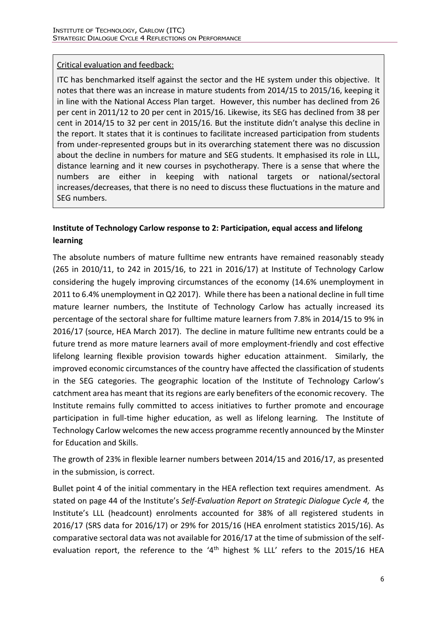#### Critical evaluation and feedback:

ITC has benchmarked itself against the sector and the HE system under this objective. It notes that there was an increase in mature students from 2014/15 to 2015/16, keeping it in line with the National Access Plan target. However, this number has declined from 26 per cent in 2011/12 to 20 per cent in 2015/16. Likewise, its SEG has declined from 38 per cent in 2014/15 to 32 per cent in 2015/16. But the institute didn't analyse this decline in the report. It states that it is continues to facilitate increased participation from students from under-represented groups but in its overarching statement there was no discussion about the decline in numbers for mature and SEG students. It emphasised its role in LLL, distance learning and it new courses in psychotherapy. There is a sense that where the numbers are either in keeping with national targets or national/sectoral increases/decreases, that there is no need to discuss these fluctuations in the mature and SEG numbers.

# **Institute of Technology Carlow response to 2: Participation, equal access and lifelong learning**

The absolute numbers of mature fulltime new entrants have remained reasonably steady (265 in 2010/11, to 242 in 2015/16, to 221 in 2016/17) at Institute of Technology Carlow considering the hugely improving circumstances of the economy (14.6% unemployment in 2011 to 6.4% unemployment in Q2 2017). While there has been a national decline in full time mature learner numbers, the Institute of Technology Carlow has actually increased its percentage of the sectoral share for fulltime mature learners from 7.8% in 2014/15 to 9% in 2016/17 (source, HEA March 2017). The decline in mature fulltime new entrants could be a future trend as more mature learners avail of more employment-friendly and cost effective lifelong learning flexible provision towards higher education attainment. Similarly, the improved economic circumstances of the country have affected the classification of students in the SEG categories. The geographic location of the Institute of Technology Carlow's catchment area has meant that its regions are early benefiters of the economic recovery. The Institute remains fully committed to access initiatives to further promote and encourage participation in full-time higher education, as well as lifelong learning. The Institute of Technology Carlow welcomes the new access programme recently announced by the Minster for Education and Skills.

The growth of 23% in flexible learner numbers between 2014/15 and 2016/17, as presented in the submission, is correct.

Bullet point 4 of the initial commentary in the HEA reflection text requires amendment. As stated on page 44 of the Institute's *Self-Evaluation Report on Strategic Dialogue Cycle 4,* the Institute's LLL (headcount) enrolments accounted for 38% of all registered students in 2016/17 (SRS data for 2016/17) or 29% for 2015/16 (HEA enrolment statistics 2015/16). As comparative sectoral data was not available for 2016/17 at the time of submission of the selfevaluation report, the reference to the '4<sup>th</sup> highest % LLL' refers to the 2015/16 HEA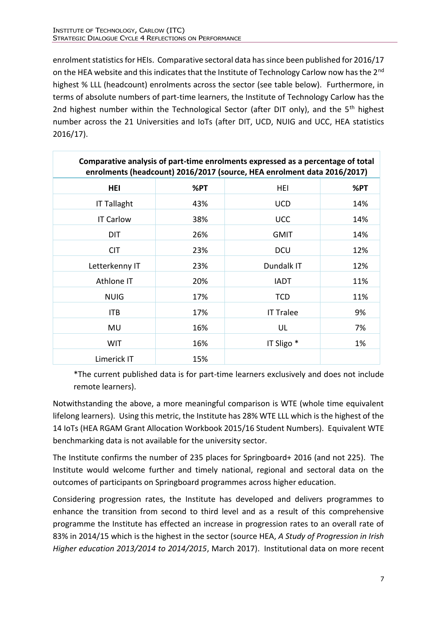enrolment statistics for HEIs. Comparative sectoral data has since been published for 2016/17 on the HEA website and this indicates that the Institute of Technology Carlow now has the 2<sup>nd</sup> highest % LLL (headcount) enrolments across the sector (see table below). Furthermore, in terms of absolute numbers of part-time learners, the Institute of Technology Carlow has the 2nd highest number within the Technological Sector (after DIT only), and the 5<sup>th</sup> highest number across the 21 Universities and IoTs (after DIT, UCD, NUIG and UCC, HEA statistics 2016/17).

| Comparative analysis of part-time enrolments expressed as a percentage of total<br>enrolments (headcount) 2016/2017 (source, HEA enrolment data 2016/2017) |     |                       |     |
|------------------------------------------------------------------------------------------------------------------------------------------------------------|-----|-----------------------|-----|
| <b>HEI</b>                                                                                                                                                 | %PT | HEI                   | %PT |
| <b>IT Tallaght</b>                                                                                                                                         | 43% | <b>UCD</b>            | 14% |
| <b>IT Carlow</b>                                                                                                                                           | 38% | <b>UCC</b>            | 14% |
| DIT                                                                                                                                                        | 26% | <b>GMIT</b>           | 14% |
| <b>CIT</b>                                                                                                                                                 | 23% | <b>DCU</b>            | 12% |
| Letterkenny IT                                                                                                                                             | 23% | Dundalk IT            | 12% |
| Athlone IT                                                                                                                                                 | 20% | <b>IADT</b>           | 11% |
| <b>NUIG</b>                                                                                                                                                | 17% | <b>TCD</b>            | 11% |
| <b>ITB</b>                                                                                                                                                 | 17% | <b>IT Tralee</b>      | 9%  |
| MU                                                                                                                                                         | 16% | UL                    | 7%  |
| <b>WIT</b>                                                                                                                                                 | 16% | IT Sligo <sup>*</sup> | 1%  |
| Limerick IT                                                                                                                                                | 15% |                       |     |

\*The current published data is for part-time learners exclusively and does not include remote learners).

Notwithstanding the above, a more meaningful comparison is WTE (whole time equivalent lifelong learners). Using this metric, the Institute has 28% WTE LLL which is the highest of the 14 IoTs (HEA RGAM Grant Allocation Workbook 2015/16 Student Numbers). Equivalent WTE benchmarking data is not available for the university sector.

The Institute confirms the number of 235 places for Springboard+ 2016 (and not 225). The Institute would welcome further and timely national, regional and sectoral data on the outcomes of participants on Springboard programmes across higher education.

Considering progression rates, the Institute has developed and delivers programmes to enhance the transition from second to third level and as a result of this comprehensive programme the Institute has effected an increase in progression rates to an overall rate of 83% in 2014/15 which is the highest in the sector (source HEA, *A Study of Progression in Irish Higher education 2013/2014 to 2014/2015*, March 2017). Institutional data on more recent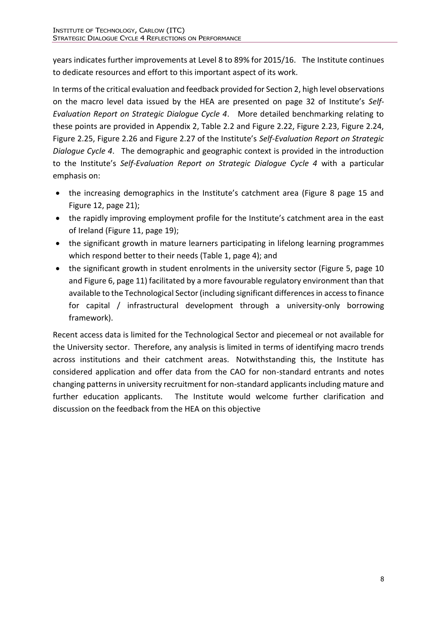years indicates further improvements at Level 8 to 89% for 2015/16. The Institute continues to dedicate resources and effort to this important aspect of its work.

In terms of the critical evaluation and feedback provided for Section 2, high level observations on the macro level data issued by the HEA are presented on page 32 of Institute's *Self-Evaluation Report on Strategic Dialogue Cycle 4*. More detailed benchmarking relating to these points are provided in Appendix 2, Table 2.2 and Figure 2.22, Figure 2.23, Figure 2.24, Figure 2.25, Figure 2.26 and Figure 2.27 of the Institute's *Self-Evaluation Report on Strategic Dialogue Cycle 4*. The demographic and geographic context is provided in the introduction to the Institute's *Self-Evaluation Report on Strategic Dialogue Cycle 4* with a particular emphasis on:

- the increasing demographics in the Institute's catchment area (Figure 8 page 15 and Figure 12, page 21);
- the rapidly improving employment profile for the Institute's catchment area in the east of Ireland (Figure 11, page 19);
- the significant growth in mature learners participating in lifelong learning programmes which respond better to their needs (Table 1, page 4); and
- the significant growth in student enrolments in the university sector (Figure 5, page 10 and Figure 6, page 11) facilitated by a more favourable regulatory environment than that available to the Technological Sector (including significant differences in access to finance for capital / infrastructural development through a university-only borrowing framework).

Recent access data is limited for the Technological Sector and piecemeal or not available for the University sector. Therefore, any analysis is limited in terms of identifying macro trends across institutions and their catchment areas. Notwithstanding this, the Institute has considered application and offer data from the CAO for non-standard entrants and notes changing patterns in university recruitment for non-standard applicants including mature and further education applicants. The Institute would welcome further clarification and discussion on the feedback from the HEA on this objective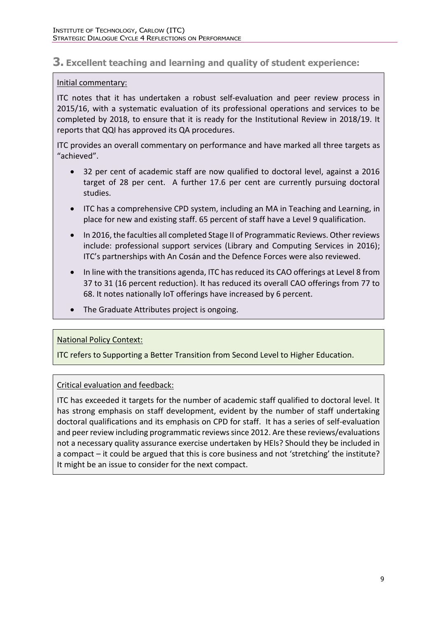### **3. Excellent teaching and learning and quality of student experience:**

#### Initial commentary:

ITC notes that it has undertaken a robust self-evaluation and peer review process in 2015/16, with a systematic evaluation of its professional operations and services to be completed by 2018, to ensure that it is ready for the Institutional Review in 2018/19. It reports that QQI has approved its QA procedures.

ITC provides an overall commentary on performance and have marked all three targets as "achieved".

- 32 per cent of academic staff are now qualified to doctoral level, against a 2016 target of 28 per cent. A further 17.6 per cent are currently pursuing doctoral studies.
- ITC has a comprehensive CPD system, including an MA in Teaching and Learning, in place for new and existing staff. 65 percent of staff have a Level 9 qualification.
- In 2016, the faculties all completed Stage II of Programmatic Reviews. Other reviews include: professional support services (Library and Computing Services in 2016); ITC's partnerships with An Cosán and the Defence Forces were also reviewed.
- In line with the transitions agenda, ITC has reduced its CAO offerings at Level 8 from 37 to 31 (16 percent reduction). It has reduced its overall CAO offerings from 77 to 68. It notes nationally IoT offerings have increased by 6 percent.
- The Graduate Attributes project is ongoing.

#### National Policy Context:

ITC refers to Supporting a Better Transition from Second Level to Higher Education.

#### Critical evaluation and feedback:

ITC has exceeded it targets for the number of academic staff qualified to doctoral level. It has strong emphasis on staff development, evident by the number of staff undertaking doctoral qualifications and its emphasis on CPD for staff. It has a series of self-evaluation and peer review including programmatic reviews since 2012. Are these reviews/evaluations not a necessary quality assurance exercise undertaken by HEIs? Should they be included in a compact – it could be argued that this is core business and not 'stretching' the institute? It might be an issue to consider for the next compact.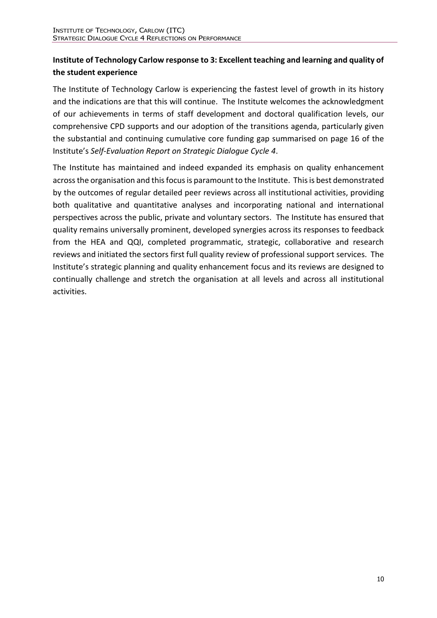# **Institute of Technology Carlow response to 3: Excellent teaching and learning and quality of the student experience**

The Institute of Technology Carlow is experiencing the fastest level of growth in its history and the indications are that this will continue. The Institute welcomes the acknowledgment of our achievements in terms of staff development and doctoral qualification levels, our comprehensive CPD supports and our adoption of the transitions agenda, particularly given the substantial and continuing cumulative core funding gap summarised on page 16 of the Institute's *Self-Evaluation Report on Strategic Dialogue Cycle 4*.

The Institute has maintained and indeed expanded its emphasis on quality enhancement across the organisation and this focus is paramount to the Institute. This is best demonstrated by the outcomes of regular detailed peer reviews across all institutional activities, providing both qualitative and quantitative analyses and incorporating national and international perspectives across the public, private and voluntary sectors. The Institute has ensured that quality remains universally prominent, developed synergies across its responses to feedback from the HEA and QQI, completed programmatic, strategic, collaborative and research reviews and initiated the sectors first full quality review of professional support services. The Institute's strategic planning and quality enhancement focus and its reviews are designed to continually challenge and stretch the organisation at all levels and across all institutional activities.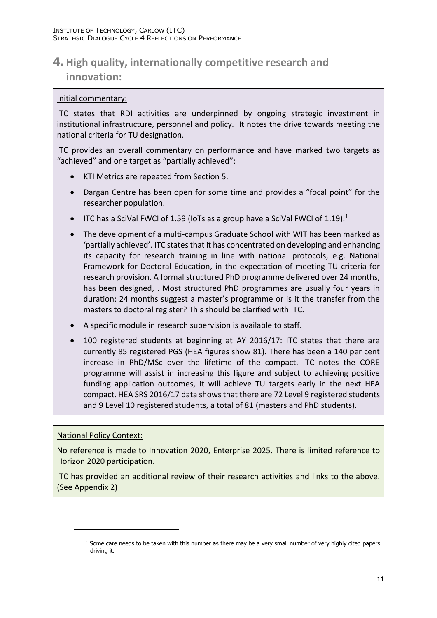# **4. High quality, internationally competitive research and innovation:**

#### Initial commentary:

ITC states that RDI activities are underpinned by ongoing strategic investment in institutional infrastructure, personnel and policy. It notes the drive towards meeting the national criteria for TU designation.

ITC provides an overall commentary on performance and have marked two targets as "achieved" and one target as "partially achieved":

- KTI Metrics are repeated from Section 5.
- Dargan Centre has been open for some time and provides a "focal point" for the researcher population.
- ITC has a SciVal FWCI of 1.59 (IoTs as a group have a SciVal FWCI of 1.19).<sup>1</sup>
- The development of a multi-campus Graduate School with WIT has been marked as 'partially achieved'. ITC states that it has concentrated on developing and enhancing its capacity for research training in line with national protocols, e.g. National Framework for Doctoral Education, in the expectation of meeting TU criteria for research provision. A formal structured PhD programme delivered over 24 months, has been designed, . Most structured PhD programmes are usually four years in duration; 24 months suggest a master's programme or is it the transfer from the masters to doctoral register? This should be clarified with ITC.
- A specific module in research supervision is available to staff.
- 100 registered students at beginning at AY 2016/17: ITC states that there are currently 85 registered PGS (HEA figures show 81). There has been a 140 per cent increase in PhD/MSc over the lifetime of the compact. ITC notes the CORE programme will assist in increasing this figure and subject to achieving positive funding application outcomes, it will achieve TU targets early in the next HEA compact. HEA SRS 2016/17 data shows that there are 72 Level 9 registered students and 9 Level 10 registered students, a total of 81 (masters and PhD students).

#### National Policy Context:

 $\overline{a}$ 

No reference is made to Innovation 2020, Enterprise 2025. There is limited reference to Horizon 2020 participation.

ITC has provided an additional review of their research activities and links to the above. (See Appendix 2)

 $1$  Some care needs to be taken with this number as there may be a very small number of very highly cited papers driving it.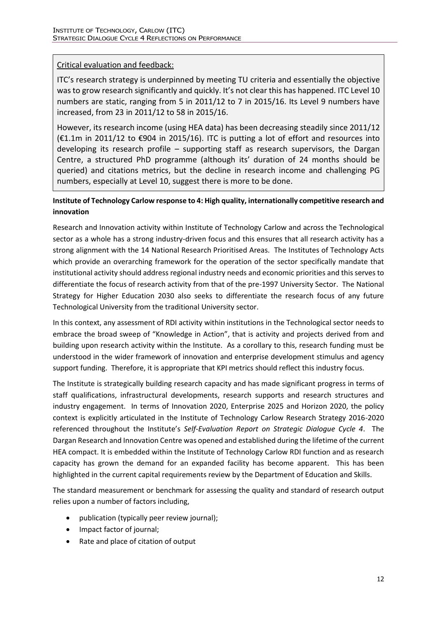#### Critical evaluation and feedback:

ITC's research strategy is underpinned by meeting TU criteria and essentially the objective was to grow research significantly and quickly. It's not clear this has happened. ITC Level 10 numbers are static, ranging from 5 in 2011/12 to 7 in 2015/16. Its Level 9 numbers have increased, from 23 in 2011/12 to 58 in 2015/16.

However, its research income (using HEA data) has been decreasing steadily since 2011/12 (€1.1m in 2011/12 to €904 in 2015/16). ITC is putting a lot of effort and resources into developing its research profile – supporting staff as research supervisors, the Dargan Centre, a structured PhD programme (although its' duration of 24 months should be queried) and citations metrics, but the decline in research income and challenging PG numbers, especially at Level 10, suggest there is more to be done.

#### **Institute of Technology Carlow response to 4: High quality, internationally competitive research and innovation**

Research and Innovation activity within Institute of Technology Carlow and across the Technological sector as a whole has a strong industry-driven focus and this ensures that all research activity has a strong alignment with the 14 National Research Prioritised Areas. The Institutes of Technology Acts which provide an overarching framework for the operation of the sector specifically mandate that institutional activity should address regional industry needs and economic priorities and this serves to differentiate the focus of research activity from that of the pre-1997 University Sector. The National Strategy for Higher Education 2030 also seeks to differentiate the research focus of any future Technological University from the traditional University sector.

In this context, any assessment of RDI activity within institutions in the Technological sector needs to embrace the broad sweep of "Knowledge in Action", that is activity and projects derived from and building upon research activity within the Institute. As a corollary to this, research funding must be understood in the wider framework of innovation and enterprise development stimulus and agency support funding. Therefore, it is appropriate that KPI metrics should reflect this industry focus.

The Institute is strategically building research capacity and has made significant progress in terms of staff qualifications, infrastructural developments, research supports and research structures and industry engagement. In terms of Innovation 2020, Enterprise 2025 and Horizon 2020, the policy context is explicitly articulated in the Institute of Technology Carlow Research Strategy 2016-2020 referenced throughout the Institute's *Self-Evaluation Report on Strategic Dialogue Cycle 4*. The Dargan Research and Innovation Centre was opened and established during the lifetime of the current HEA compact. It is embedded within the Institute of Technology Carlow RDI function and as research capacity has grown the demand for an expanded facility has become apparent. This has been highlighted in the current capital requirements review by the Department of Education and Skills.

The standard measurement or benchmark for assessing the quality and standard of research output relies upon a number of factors including,

- publication (typically peer review journal);
- Impact factor of journal;
- Rate and place of citation of output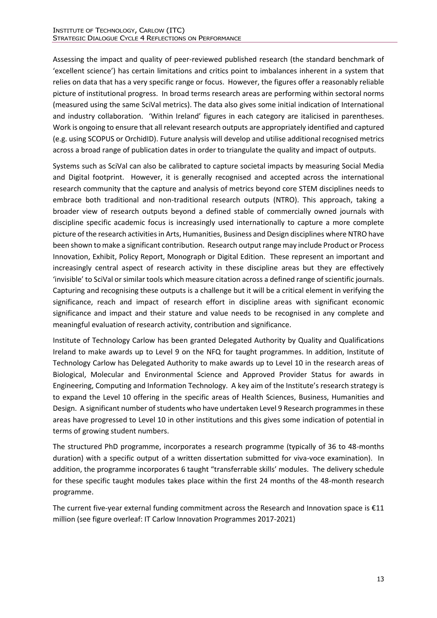Assessing the impact and quality of peer-reviewed published research (the standard benchmark of 'excellent science') has certain limitations and critics point to imbalances inherent in a system that relies on data that has a very specific range or focus. However, the figures offer a reasonably reliable picture of institutional progress. In broad terms research areas are performing within sectoral norms (measured using the same SciVal metrics). The data also gives some initial indication of International and industry collaboration. 'Within Ireland' figures in each category are italicised in parentheses. Work is ongoing to ensure that all relevant research outputs are appropriately identified and captured (e.g. using SCOPUS or OrchidID). Future analysis will develop and utilise additional recognised metrics across a broad range of publication dates in order to triangulate the quality and impact of outputs.

Systems such as SciVal can also be calibrated to capture societal impacts by measuring Social Media and Digital footprint. However, it is generally recognised and accepted across the international research community that the capture and analysis of metrics beyond core STEM disciplines needs to embrace both traditional and non-traditional research outputs (NTRO). This approach, taking a broader view of research outputs beyond a defined stable of commercially owned journals with discipline specific academic focus is increasingly used internationally to capture a more complete picture of the research activities in Arts, Humanities, Business and Design disciplines where NTRO have been shown to make a significant contribution. Research output range may include Product or Process Innovation, Exhibit, Policy Report, Monograph or Digital Edition. These represent an important and increasingly central aspect of research activity in these discipline areas but they are effectively 'invisible' to SciVal or similar tools which measure citation across a defined range of scientific journals. Capturing and recognising these outputs is a challenge but it will be a critical element in verifying the significance, reach and impact of research effort in discipline areas with significant economic significance and impact and their stature and value needs to be recognised in any complete and meaningful evaluation of research activity, contribution and significance.

Institute of Technology Carlow has been granted Delegated Authority by Quality and Qualifications Ireland to make awards up to Level 9 on the NFQ for taught programmes. In addition, Institute of Technology Carlow has Delegated Authority to make awards up to Level 10 in the research areas of Biological, Molecular and Environmental Science and Approved Provider Status for awards in Engineering, Computing and Information Technology. A key aim of the Institute's research strategy is to expand the Level 10 offering in the specific areas of Health Sciences, Business, Humanities and Design. A significant number of students who have undertaken Level 9 Research programmes in these areas have progressed to Level 10 in other institutions and this gives some indication of potential in terms of growing student numbers.

The structured PhD programme, incorporates a research programme (typically of 36 to 48-months duration) with a specific output of a written dissertation submitted for viva-voce examination). In addition, the programme incorporates 6 taught "transferrable skills' modules. The delivery schedule for these specific taught modules takes place within the first 24 months of the 48-month research programme.

The current five-year external funding commitment across the Research and Innovation space is €11 million (see figure overleaf: IT Carlow Innovation Programmes 2017-2021)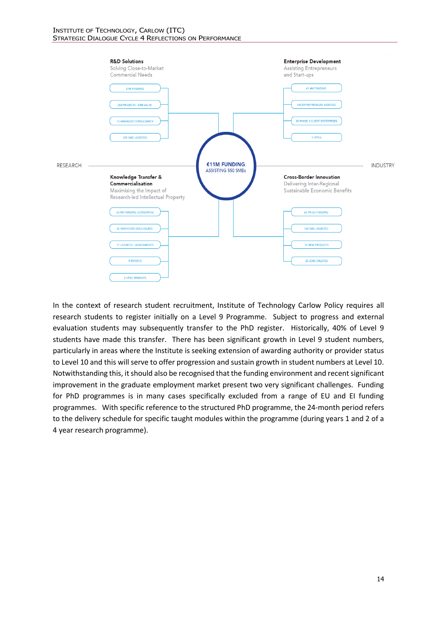

In the context of research student recruitment, Institute of Technology Carlow Policy requires all research students to register initially on a Level 9 Programme. Subject to progress and external evaluation students may subsequently transfer to the PhD register. Historically, 40% of Level 9 students have made this transfer. There has been significant growth in Level 9 student numbers, particularly in areas where the Institute is seeking extension of awarding authority or provider status to Level 10 and this will serve to offer progression and sustain growth in student numbers at Level 10. Notwithstanding this, it should also be recognised that the funding environment and recent significant improvement in the graduate employment market present two very significant challenges. Funding for PhD programmes is in many cases specifically excluded from a range of EU and EI funding programmes. With specific reference to the structured PhD programme, the 24-month period refers to the delivery schedule for specific taught modules within the programme (during years 1 and 2 of a 4 year research programme).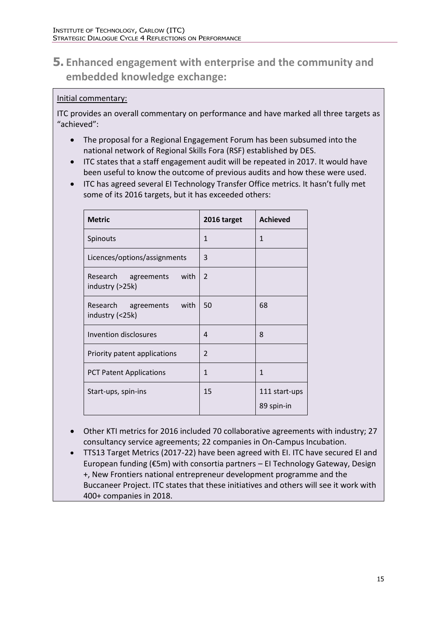# **5. Enhanced engagement with enterprise and the community and embedded knowledge exchange:**

### Initial commentary:

ITC provides an overall commentary on performance and have marked all three targets as "achieved":

- The proposal for a Regional Engagement Forum has been subsumed into the national network of Regional Skills Fora (RSF) established by DES.
- ITC states that a staff engagement audit will be repeated in 2017. It would have been useful to know the outcome of previous audits and how these were used.
- ITC has agreed several EI Technology Transfer Office metrics. It hasn't fully met some of its 2016 targets, but it has exceeded others:

| <b>Metric</b>                                  | 2016 target    | <b>Achieved</b>             |
|------------------------------------------------|----------------|-----------------------------|
| Spinouts                                       | 1              | 1                           |
| Licences/options/assignments                   | 3              |                             |
| with<br>Research agreements<br>industry (>25k) | 2              |                             |
| Research agreements<br>with<br>industry (<25k) | 50             | 68                          |
| Invention disclosures                          | 4              | 8                           |
| Priority patent applications                   | $\overline{2}$ |                             |
| <b>PCT Patent Applications</b>                 | 1              | 1                           |
| Start-ups, spin-ins                            | 15             | 111 start-ups<br>89 spin-in |

- Other KTI metrics for 2016 included 70 collaborative agreements with industry; 27 consultancy service agreements; 22 companies in On-Campus Incubation.
- TTS13 Target Metrics (2017-22) have been agreed with EI. ITC have secured EI and European funding (€5m) with consortia partners – EI Technology Gateway, Design +, New Frontiers national entrepreneur development programme and the Buccaneer Project. ITC states that these initiatives and others will see it work with 400+ companies in 2018.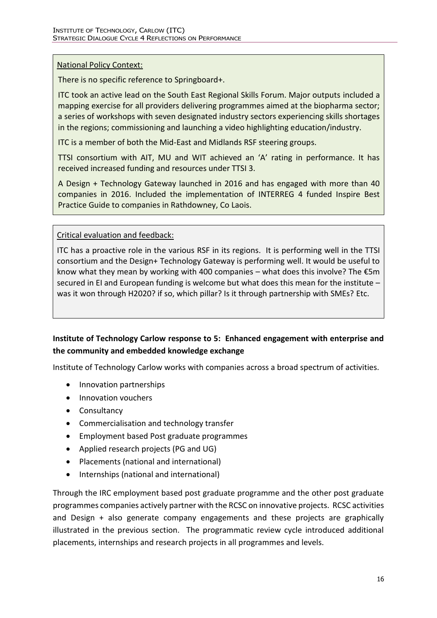#### National Policy Context:

There is no specific reference to Springboard+.

ITC took an active lead on the South East Regional Skills Forum. Major outputs included a mapping exercise for all providers delivering programmes aimed at the biopharma sector; a series of workshops with seven designated industry sectors experiencing skills shortages in the regions; commissioning and launching a video highlighting education/industry.

ITC is a member of both the Mid-East and Midlands RSF steering groups.

TTSI consortium with AIT, MU and WIT achieved an 'A' rating in performance. It has received increased funding and resources under TTSI 3.

A Design + Technology Gateway launched in 2016 and has engaged with more than 40 companies in 2016. Included the implementation of INTERREG 4 funded Inspire Best Practice Guide to companies in Rathdowney, Co Laois.

#### Critical evaluation and feedback:

ITC has a proactive role in the various RSF in its regions. It is performing well in the TTSI consortium and the Design+ Technology Gateway is performing well. It would be useful to know what they mean by working with 400 companies – what does this involve? The  $\epsilon$ 5m secured in EI and European funding is welcome but what does this mean for the institute – was it won through H2020? if so, which pillar? Is it through partnership with SMEs? Etc.

### **Institute of Technology Carlow response to 5: Enhanced engagement with enterprise and the community and embedded knowledge exchange**

Institute of Technology Carlow works with companies across a broad spectrum of activities.

- Innovation partnerships
- Innovation vouchers
- Consultancy
- Commercialisation and technology transfer
- Employment based Post graduate programmes
- Applied research projects (PG and UG)
- Placements (national and international)
- Internships (national and international)

Through the IRC employment based post graduate programme and the other post graduate programmes companies actively partner with the RCSC on innovative projects. RCSC activities and Design + also generate company engagements and these projects are graphically illustrated in the previous section. The programmatic review cycle introduced additional placements, internships and research projects in all programmes and levels.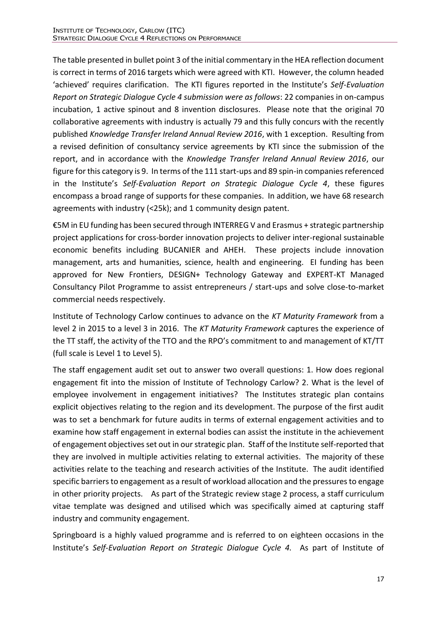The table presented in bullet point 3 of the initial commentary in the HEA reflection document is correct in terms of 2016 targets which were agreed with KTI. However, the column headed 'achieved' requires clarification. The KTI figures reported in the Institute's *Self-Evaluation Report on Strategic Dialogue Cycle 4 submission were as follows*: 22 companies in on-campus incubation, 1 active spinout and 8 invention disclosures. Please note that the original 70 collaborative agreements with industry is actually 79 and this fully concurs with the recently published *Knowledge Transfer Ireland Annual Review 2016*, with 1 exception. Resulting from a revised definition of consultancy service agreements by KTI since the submission of the report, and in accordance with the *Knowledge Transfer Ireland Annual Review 2016*, our figure for this category is 9. In terms of the 111 start-ups and 89 spin-in companies referenced in the Institute's *Self-Evaluation Report on Strategic Dialogue Cycle 4*, these figures encompass a broad range of supports for these companies. In addition, we have 68 research agreements with industry (<25k); and 1 community design patent.

€5M in EU funding has been secured through INTERREG V and Erasmus + strategic partnership project applications for cross-border innovation projects to deliver inter-regional sustainable economic benefits including BUCANIER and AHEH. These projects include innovation management, arts and humanities, science, health and engineering. EI funding has been approved for New Frontiers, DESIGN+ Technology Gateway and EXPERT-KT Managed Consultancy Pilot Programme to assist entrepreneurs / start-ups and solve close-to-market commercial needs respectively.

Institute of Technology Carlow continues to advance on the *KT Maturity Framework* from a level 2 in 2015 to a level 3 in 2016. The *KT Maturity Framework* captures the experience of the TT staff, the activity of the TTO and the RPO's commitment to and management of KT/TT (full scale is Level 1 to Level 5).

The staff engagement audit set out to answer two overall questions: 1. How does regional engagement fit into the mission of Institute of Technology Carlow? 2. What is the level of employee involvement in engagement initiatives? The Institutes strategic plan contains explicit objectives relating to the region and its development. The purpose of the first audit was to set a benchmark for future audits in terms of external engagement activities and to examine how staff engagement in external bodies can assist the institute in the achievement of engagement objectives set out in our strategic plan. Staff of the Institute self-reported that they are involved in multiple activities relating to external activities. The majority of these activities relate to the teaching and research activities of the Institute. The audit identified specific barriers to engagement as a result of workload allocation and the pressures to engage in other priority projects. As part of the Strategic review stage 2 process, a staff curriculum vitae template was designed and utilised which was specifically aimed at capturing staff industry and community engagement.

Springboard is a highly valued programme and is referred to on eighteen occasions in the Institute's *Self-Evaluation Report on Strategic Dialogue Cycle 4.* As part of Institute of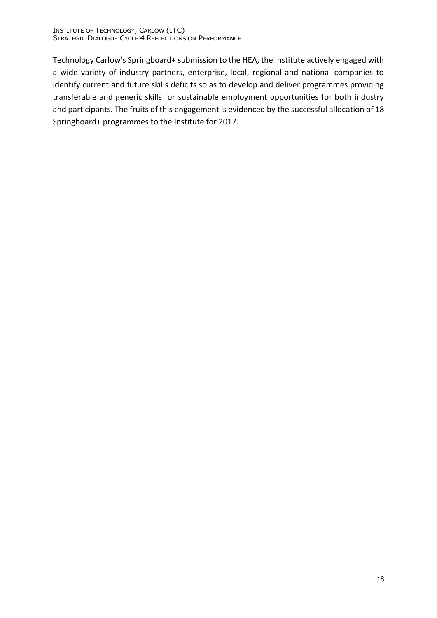Technology Carlow's Springboard+ submission to the HEA, the Institute actively engaged with a wide variety of industry partners, enterprise, local, regional and national companies to identify current and future skills deficits so as to develop and deliver programmes providing transferable and generic skills for sustainable employment opportunities for both industry and participants. The fruits of this engagement is evidenced by the successful allocation of 18 Springboard+ programmes to the Institute for 2017.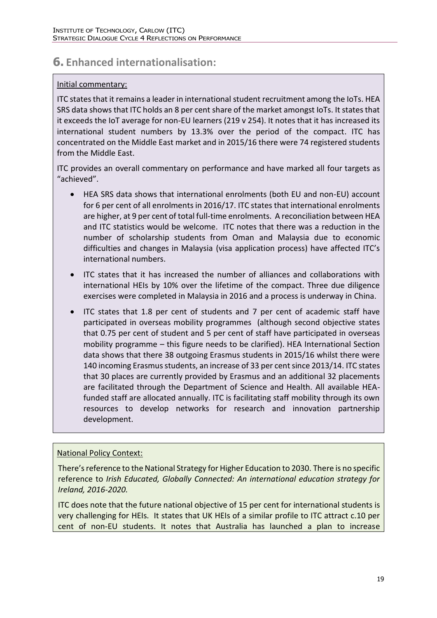# **6. Enhanced internationalisation:**

#### Initial commentary:

ITC states that it remains a leader in international student recruitment among the IoTs. HEA SRS data shows that ITC holds an 8 per cent share of the market amongst IoTs. It states that it exceeds the IoT average for non-EU learners (219 v 254). It notes that it has increased its international student numbers by 13.3% over the period of the compact. ITC has concentrated on the Middle East market and in 2015/16 there were 74 registered students from the Middle East.

ITC provides an overall commentary on performance and have marked all four targets as "achieved".

- HEA SRS data shows that international enrolments (both EU and non-EU) account for 6 per cent of all enrolments in 2016/17. ITC states that international enrolments are higher, at 9 per cent of total full-time enrolments. A reconciliation between HEA and ITC statistics would be welcome. ITC notes that there was a reduction in the number of scholarship students from Oman and Malaysia due to economic difficulties and changes in Malaysia (visa application process) have affected ITC's international numbers.
- ITC states that it has increased the number of alliances and collaborations with international HEIs by 10% over the lifetime of the compact. Three due diligence exercises were completed in Malaysia in 2016 and a process is underway in China.
- ITC states that 1.8 per cent of students and 7 per cent of academic staff have participated in overseas mobility programmes (although second objective states that 0.75 per cent of student and 5 per cent of staff have participated in overseas mobility programme – this figure needs to be clarified). HEA International Section data shows that there 38 outgoing Erasmus students in 2015/16 whilst there were 140 incoming Erasmus students, an increase of 33 per cent since 2013/14. ITC states that 30 places are currently provided by Erasmus and an additional 32 placements are facilitated through the Department of Science and Health. All available HEAfunded staff are allocated annually. ITC is facilitating staff mobility through its own resources to develop networks for research and innovation partnership development.

#### National Policy Context:

There's reference to the National Strategy for Higher Education to 2030. There is no specific reference to *Irish Educated, Globally Connected: An international education strategy for Ireland, 2016-2020.* 

ITC does note that the future national objective of 15 per cent for international students is very challenging for HEIs. It states that UK HEIs of a similar profile to ITC attract c.10 per cent of non-EU students. It notes that Australia has launched a plan to increase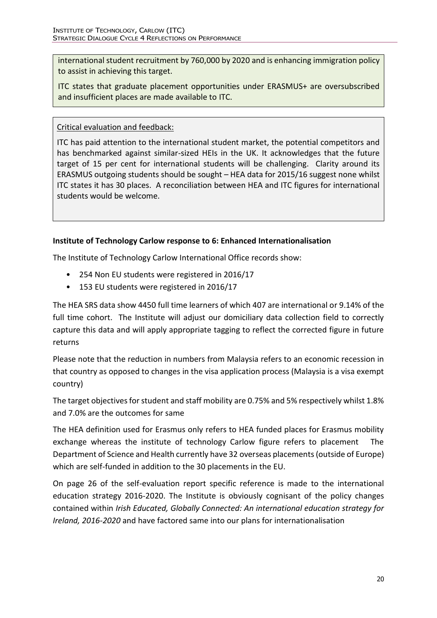international student recruitment by 760,000 by 2020 and is enhancing immigration policy to assist in achieving this target.

ITC states that graduate placement opportunities under ERASMUS+ are oversubscribed and insufficient places are made available to ITC.

Critical evaluation and feedback:

ITC has paid attention to the international student market, the potential competitors and has benchmarked against similar-sized HEIs in the UK. It acknowledges that the future target of 15 per cent for international students will be challenging. Clarity around its ERASMUS outgoing students should be sought – HEA data for 2015/16 suggest none whilst ITC states it has 30 places. A reconciliation between HEA and ITC figures for international students would be welcome.

### **Institute of Technology Carlow response to 6: Enhanced Internationalisation**

The Institute of Technology Carlow International Office records show:

- 254 Non EU students were registered in 2016/17
- 153 EU students were registered in 2016/17

The HEA SRS data show 4450 full time learners of which 407 are international or 9.14% of the full time cohort. The Institute will adjust our domiciliary data collection field to correctly capture this data and will apply appropriate tagging to reflect the corrected figure in future returns

Please note that the reduction in numbers from Malaysia refers to an economic recession in that country as opposed to changes in the visa application process (Malaysia is a visa exempt country)

The target objectives for student and staff mobility are 0.75% and 5% respectively whilst 1.8% and 7.0% are the outcomes for same

The HEA definition used for Erasmus only refers to HEA funded places for Erasmus mobility exchange whereas the institute of technology Carlow figure refers to placement The Department of Science and Health currently have 32 overseas placements (outside of Europe) which are self-funded in addition to the 30 placements in the EU.

On page 26 of the self-evaluation report specific reference is made to the international education strategy 2016-2020. The Institute is obviously cognisant of the policy changes contained within *Irish Educated, Globally Connected: An international education strategy for Ireland, 2016-2020* and have factored same into our plans for internationalisation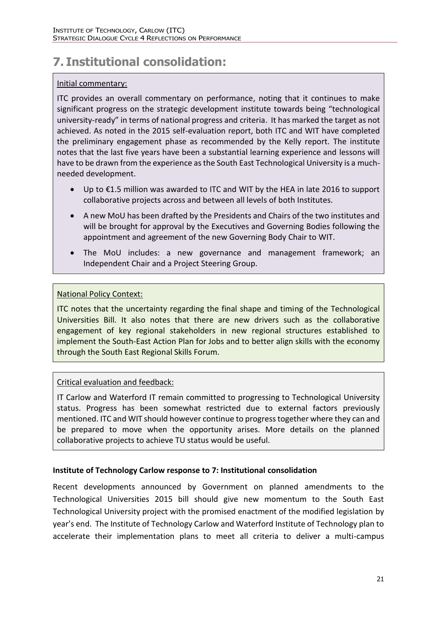# **7. Institutional consolidation:**

#### Initial commentary:

ITC provides an overall commentary on performance, noting that it continues to make significant progress on the strategic development institute towards being "technological university-ready" in terms of national progress and criteria. It has marked the target as not achieved. As noted in the 2015 self-evaluation report, both ITC and WIT have completed the preliminary engagement phase as recommended by the Kelly report. The institute notes that the last five years have been a substantial learning experience and lessons will have to be drawn from the experience as the South East Technological University is a muchneeded development.

- Up to €1.5 million was awarded to ITC and WIT by the HEA in late 2016 to support collaborative projects across and between all levels of both Institutes.
- A new MoU has been drafted by the Presidents and Chairs of the two institutes and will be brought for approval by the Executives and Governing Bodies following the appointment and agreement of the new Governing Body Chair to WIT.
- The MoU includes: a new governance and management framework; an Independent Chair and a Project Steering Group.

### National Policy Context:

ITC notes that the uncertainty regarding the final shape and timing of the Technological Universities Bill. It also notes that there are new drivers such as the collaborative engagement of key regional stakeholders in new regional structures established to implement the South-East Action Plan for Jobs and to better align skills with the economy through the South East Regional Skills Forum.

### Critical evaluation and feedback:

IT Carlow and Waterford IT remain committed to progressing to Technological University status. Progress has been somewhat restricted due to external factors previously mentioned. ITC and WIT should however continue to progress together where they can and be prepared to move when the opportunity arises. More details on the planned collaborative projects to achieve TU status would be useful.

#### **Institute of Technology Carlow response to 7: Institutional consolidation**

Recent developments announced by Government on planned amendments to the Technological Universities 2015 bill should give new momentum to the South East Technological University project with the promised enactment of the modified legislation by year's end. The Institute of Technology Carlow and Waterford Institute of Technology plan to accelerate their implementation plans to meet all criteria to deliver a multi-campus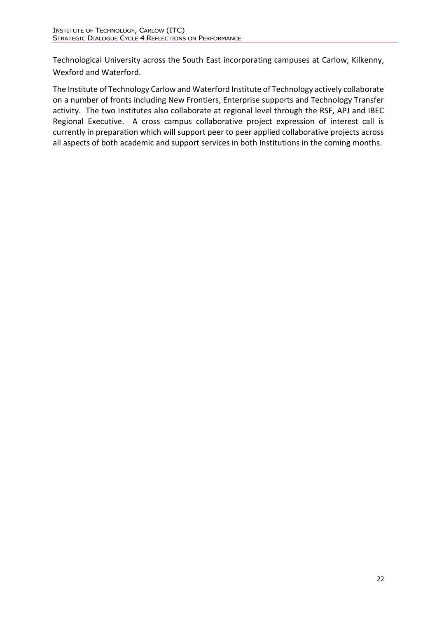Technological University across the South East incorporating campuses at Carlow, Kilkenny, Wexford and Waterford.

The Institute of Technology Carlow and Waterford Institute of Technology actively collaborate on a number of fronts including New Frontiers, Enterprise supports and Technology Transfer activity. The two Institutes also collaborate at regional level through the RSF, APJ and IBEC Regional Executive. A cross campus collaborative project expression of interest call is currently in preparation which will support peer to peer applied collaborative projects across all aspects of both academic and support services in both Institutions in the coming months.